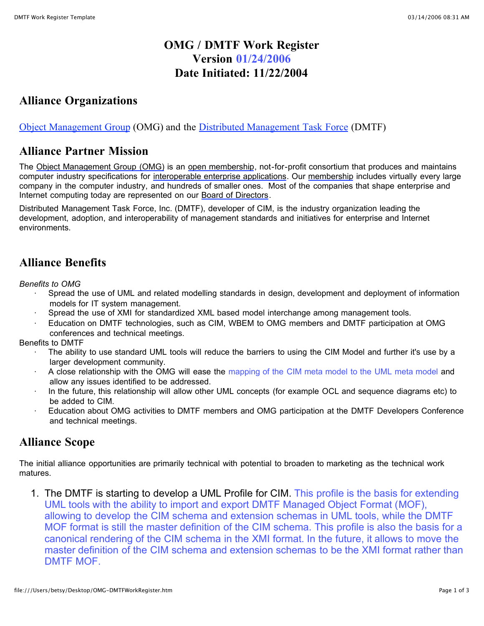## **OMG / DMTF Work Register Version 01/24/2006 Date Initiated: 11/22/2004**

## **Alliance Organizations**

Object Management Group (OMG) and the Distributed Management Task Force (DMTF)

### **Alliance Partner Mission**

The Object Management Group (OMG) is an open membership, not-for-profit consortium that produces and maintains computer industry specifications for interoperable enterprise applications. Our membership includes virtually every large company in the computer industry, and hundreds of smaller ones. Most of the companies that shape enterprise and Internet computing today are represented on our Board of Directors.

Distributed Management Task Force, Inc. (DMTF), developer of CIM, is the industry organization leading the development, adoption, and interoperability of management standards and initiatives for enterprise and Internet environments.

### **Alliance Benefits**

*Benefits to OMG*

- · Spread the use of UML and related modelling standards in design, development and deployment of information models for IT system management.
- Spread the use of XMI for standardized XML based model interchange among management tools.
- Education on DMTF technologies, such as CIM, WBEM to OMG members and DMTF participation at OMG conferences and technical meetings.

Benefits to DMTF

- The ability to use standard UML tools will reduce the barriers to using the CIM Model and further it's use by a larger development community.
- · A close relationship with the OMG will ease the mapping of the CIM meta model to the UML meta model and allow any issues identified to be addressed.
- In the future, this relationship will allow other UML concepts (for example OCL and sequence diagrams etc) to be added to CIM.
- Education about OMG activities to DMTF members and OMG participation at the DMTF Developers Conference and technical meetings.

# **Alliance Scope**

The initial alliance opportunities are primarily technical with potential to broaden to marketing as the technical work matures.

1. The DMTF is starting to develop a UML Profile for CIM. This profile is the basis for extending UML tools with the ability to import and export DMTF Managed Object Format (MOF), allowing to develop the CIM schema and extension schemas in UML tools, while the DMTF MOF format is still the master definition of the CIM schema. This profile is also the basis for a canonical rendering of the CIM schema in the XMI format. In the future, it allows to move the master definition of the CIM schema and extension schemas to be the XMI format rather than DMTF MOF.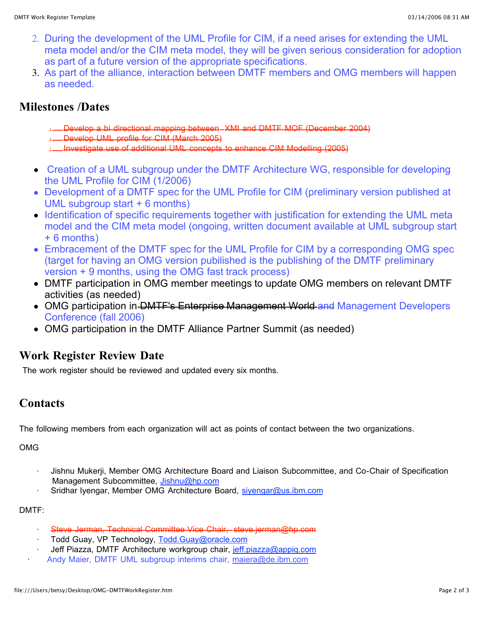- 2. During the development of the UML Profile for CIM, if a need arises for extending the UML meta model and/or the CIM meta model, they will be given serious consideration for adoption as part of a future version of the appropriate specifications.
- 3. As part of the alliance, interaction between DMTF members and OMG members will happen as needed.

### **Milestones /Dates**

- · Develop a bi directional mapping between XMI and DMTF MOF (December 2004)
- · Develop UML profile for CIM (March 2005)
- · Investigate use of additional UML concepts to enhance CIM Modelling (2005)
- Creation of a UML subgroup under the DMTF Architecture WG, responsible for developing the UML Profile for CIM (1/2006)
- Development of a DMTF spec for the UML Profile for CIM (preliminary version published at UML subgroup start + 6 months)
- Identification of specific requirements together with justification for extending the UML meta model and the CIM meta model (ongoing, written document available at UML subgroup start + 6 months)
- Embracement of the DMTF spec for the UML Profile for CIM by a corresponding OMG spec (target for having an OMG version pubilished is the publishing of the DMTF preliminary version + 9 months, using the OMG fast track process)
- DMTF participation in OMG member meetings to update OMG members on relevant DMTF activities (as needed)
- OMG participation in <del>DMTF's Enterprise Management World and</del> Management Developers Conference (fall 2006)
- OMG participation in the DMTF Alliance Partner Summit (as needed)

### **Work Register Review Date**

The work register should be reviewed and updated every six months.

# **Contacts**

The following members from each organization will act as points of contact between the two organizations.

OMG

- · Jishnu Mukerji, Member OMG Architecture Board and Liaison Subcommittee, and Co-Chair of Specification Management Subcommittee, Jishnu@hp.com
- Sridhar Iyengar, Member OMG Architecture Board, siyengar@us.ibm.com

DMTF:

- Steve Jerman, Technical Committee Vice Chair, steve.jerman@hp.com
- Todd Guay, VP Technology, Todd.Guay@oracle.com
- Jeff Piazza, DMTF Architecture workgroup chair, jeff.piazza@appiq.com
- Andy Maier, DMTF UML subgroup interims chair, maiera@de.ibm.com